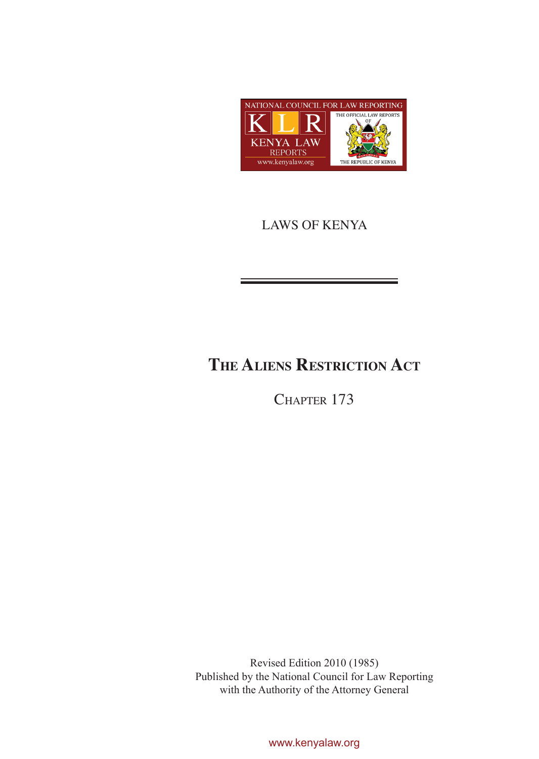

## LAWS OF KENYA

# **The Aliens Restriction Act**

CHAPTER 173

Revised Edition 2010 (1985) Published by the National Council for Law Reporting with the Authority of the Attorney General

www.kenyalaw.org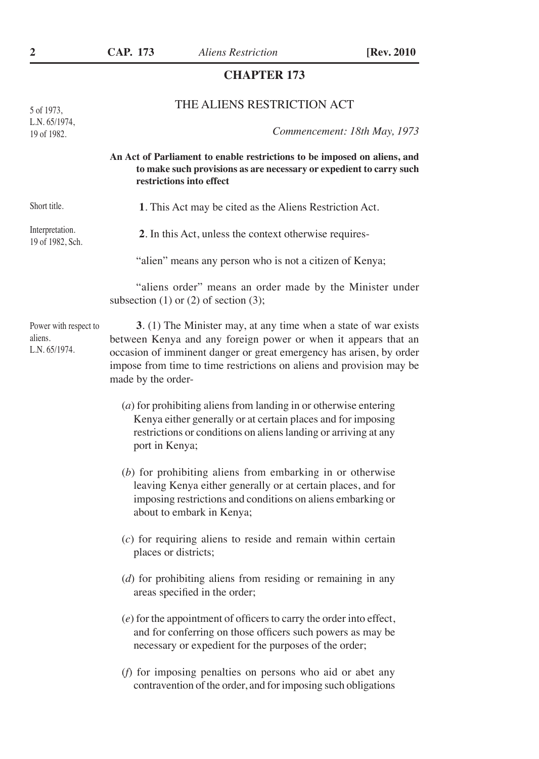### **CHAPTER 173**

## THE ALIENS RESTRICTION ACT

5 of 1973, L.N. 65/1974, 19 of 1982.

*Commencement: 18th May, 1973*

**An Act of Parliament to enable restrictions to be imposed on aliens, and to make such provisions as are necessary or expedient to carry such restrictions into effect**

| Short title.                                      | 1. This Act may be cited as the Aliens Restriction Act.                                                                                                                                                                                                                                                |
|---------------------------------------------------|--------------------------------------------------------------------------------------------------------------------------------------------------------------------------------------------------------------------------------------------------------------------------------------------------------|
| Interpretation.<br>19 of 1982, Sch.               | 2. In this Act, unless the context otherwise requires-                                                                                                                                                                                                                                                 |
|                                                   | "alien" means any person who is not a citizen of Kenya;                                                                                                                                                                                                                                                |
|                                                   | "aliens order" means an order made by the Minister under<br>subsection $(1)$ or $(2)$ of section $(3)$ ;                                                                                                                                                                                               |
| Power with respect to<br>aliens.<br>L.N. 65/1974. | 3. (1) The Minister may, at any time when a state of war exists<br>between Kenya and any foreign power or when it appears that an<br>occasion of imminent danger or great emergency has arisen, by order<br>impose from time to time restrictions on aliens and provision may be<br>made by the order- |
|                                                   | $(a)$ for prohibiting aliens from landing in or otherwise entering<br>Kenya either generally or at certain places and for imposing<br>restrictions or conditions on aliens landing or arriving at any<br>port in Kenya;                                                                                |
|                                                   | $(b)$ for prohibiting aliens from embarking in or otherwise<br>leaving Kenya either generally or at certain places, and for<br>imposing restrictions and conditions on aliens embarking or<br>about to embark in Kenya;                                                                                |
|                                                   | $(c)$ for requiring aliens to reside and remain within certain<br>places or districts;                                                                                                                                                                                                                 |
|                                                   | $(d)$ for prohibiting aliens from residing or remaining in any<br>areas specified in the order;                                                                                                                                                                                                        |
|                                                   | $(e)$ for the appointment of officers to carry the order into effect,<br>and for conferring on those officers such powers as may be<br>necessary or expedient for the purposes of the order;                                                                                                           |
|                                                   | (f) for imposing penalties on persons who aid or abet any<br>contravention of the order, and for imposing such obligations                                                                                                                                                                             |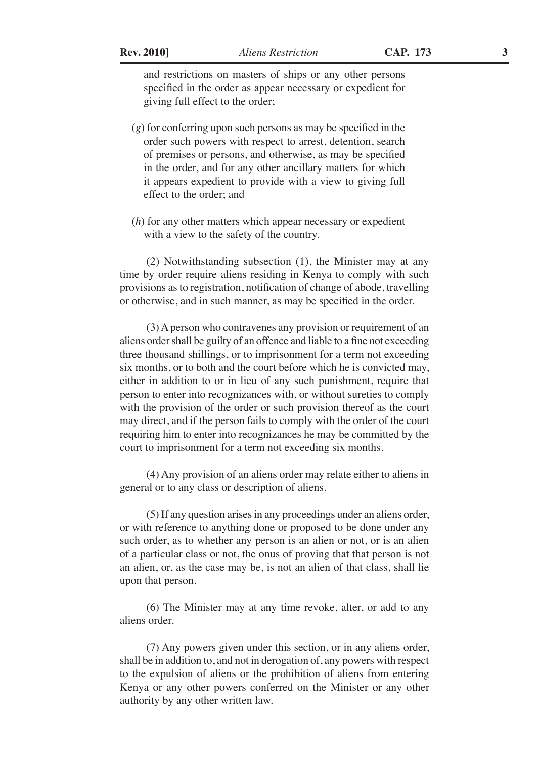and restrictions on masters of ships or any other persons specified in the order as appear necessary or expedient for giving full effect to the order;

- (*g*) for conferring upon such persons as may be specified in the order such powers with respect to arrest, detention, search of premises or persons, and otherwise, as may be specified in the order, and for any other ancillary matters for which it appears expedient to provide with a view to giving full effect to the order; and
- (*h*) for any other matters which appear necessary or expedient with a view to the safety of the country.

(2) Notwithstanding subsection (1), the Minister may at any time by order require aliens residing in Kenya to comply with such provisions as to registration, notification of change of abode, travelling or otherwise, and in such manner, as may be specified in the order.

(3) A person who contravenes any provision or requirement of an aliens order shall be guilty of an offence and liable to a fine not exceeding three thousand shillings, or to imprisonment for a term not exceeding six months, or to both and the court before which he is convicted may, either in addition to or in lieu of any such punishment, require that person to enter into recognizances with, or without sureties to comply with the provision of the order or such provision thereof as the court may direct, and if the person fails to comply with the order of the court requiring him to enter into recognizances he may be committed by the court to imprisonment for a term not exceeding six months.

(4) Any provision of an aliens order may relate either to aliens in general or to any class or description of aliens.

(5) If any question arises in any proceedings under an aliens order, or with reference to anything done or proposed to be done under any such order, as to whether any person is an alien or not, or is an alien of a particular class or not, the onus of proving that that person is not an alien, or, as the case may be, is not an alien of that class, shall lie upon that person.

(6) The Minister may at any time revoke, alter, or add to any aliens order.

(7) Any powers given under this section, or in any aliens order, shall be in addition to, and not in derogation of, any powers with respect to the expulsion of aliens or the prohibition of aliens from entering Kenya or any other powers conferred on the Minister or any other authority by any other written law.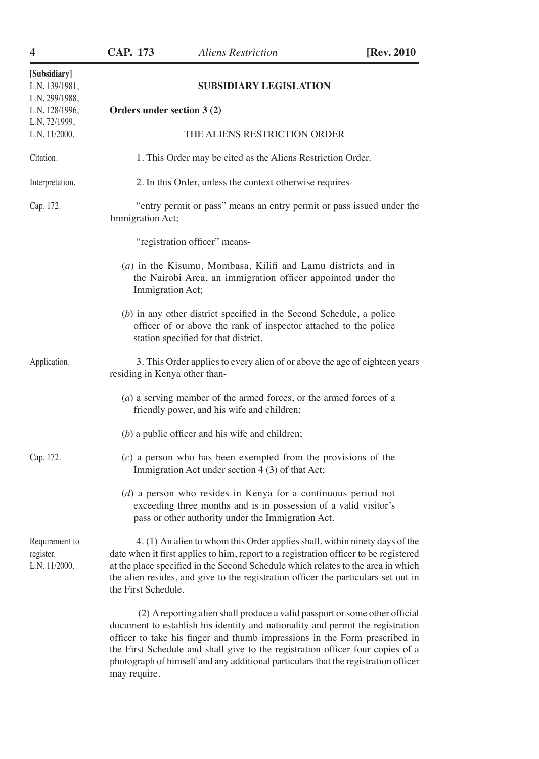| 4                                                                  | <b>CAP. 173</b>               | <b>Aliens Restriction</b>                                                                                                                                                                                                                                                                                                                                                                                           | [Rev. 2010] |
|--------------------------------------------------------------------|-------------------------------|---------------------------------------------------------------------------------------------------------------------------------------------------------------------------------------------------------------------------------------------------------------------------------------------------------------------------------------------------------------------------------------------------------------------|-------------|
| [Subsidiary]<br>L.N. 139/1981,<br>L.N. 299/1988,<br>L.N. 128/1996, | Orders under section 3 (2)    | <b>SUBSIDIARY LEGISLATION</b>                                                                                                                                                                                                                                                                                                                                                                                       |             |
| L.N. 72/1999,<br>L.N. 11/2000.                                     |                               | THE ALIENS RESTRICTION ORDER                                                                                                                                                                                                                                                                                                                                                                                        |             |
| Citation.                                                          |                               | 1. This Order may be cited as the Aliens Restriction Order.                                                                                                                                                                                                                                                                                                                                                         |             |
| Interpretation.                                                    |                               | 2. In this Order, unless the context otherwise requires-                                                                                                                                                                                                                                                                                                                                                            |             |
| Cap. 172.                                                          | Immigration Act;              | "entry permit or pass" means an entry permit or pass issued under the                                                                                                                                                                                                                                                                                                                                               |             |
|                                                                    |                               | "registration officer" means-                                                                                                                                                                                                                                                                                                                                                                                       |             |
|                                                                    | Immigration Act;              | $(a)$ in the Kisumu, Mombasa, Kilifi and Lamu districts and in<br>the Nairobi Area, an immigration officer appointed under the                                                                                                                                                                                                                                                                                      |             |
|                                                                    |                               | $(b)$ in any other district specified in the Second Schedule, a police<br>officer of or above the rank of inspector attached to the police<br>station specified for that district.                                                                                                                                                                                                                                  |             |
| Application.                                                       | residing in Kenya other than- | 3. This Order applies to every alien of or above the age of eighteen years                                                                                                                                                                                                                                                                                                                                          |             |
|                                                                    |                               | $(a)$ a serving member of the armed forces, or the armed forces of a<br>friendly power, and his wife and children;                                                                                                                                                                                                                                                                                                  |             |
|                                                                    |                               | $(b)$ a public officer and his wife and children;                                                                                                                                                                                                                                                                                                                                                                   |             |
| Cap. 172.                                                          |                               | $(c)$ a person who has been exempted from the provisions of the<br>Immigration Act under section 4 (3) of that Act;                                                                                                                                                                                                                                                                                                 |             |
|                                                                    |                               | $(d)$ a person who resides in Kenya for a continuous period not<br>exceeding three months and is in possession of a valid visitor's<br>pass or other authority under the Immigration Act.                                                                                                                                                                                                                           |             |
| Requirement to<br>register.<br>L.N. 11/2000.                       | the First Schedule.           | 4. (1) An alien to whom this Order applies shall, within ninety days of the<br>date when it first applies to him, report to a registration officer to be registered<br>at the place specified in the Second Schedule which relates to the area in which<br>the alien resides, and give to the registration officer the particulars set out in                                                                       |             |
|                                                                    | may require.                  | (2) A reporting alien shall produce a valid passport or some other official<br>document to establish his identity and nationality and permit the registration<br>officer to take his finger and thumb impressions in the Form prescribed in<br>the First Schedule and shall give to the registration officer four copies of a<br>photograph of himself and any additional particulars that the registration officer |             |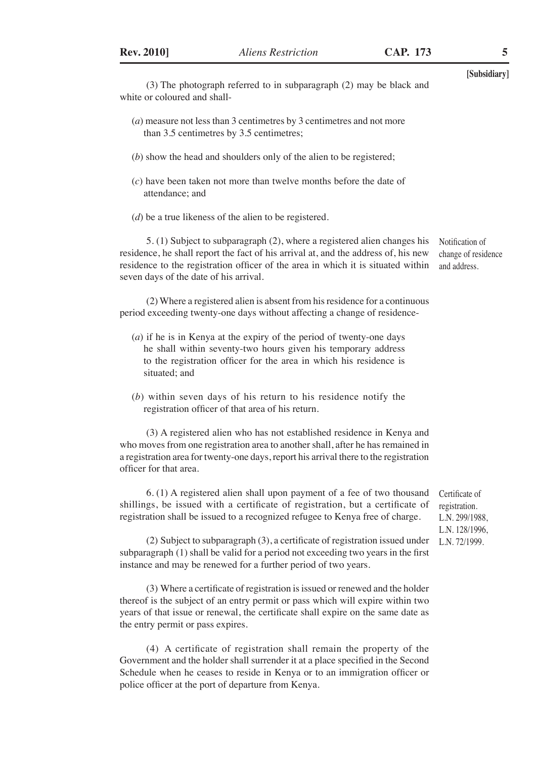**[Subsidiary]** (3) The photograph referred to in subparagraph (2) may be black and white or coloured and shall- (*a*) measure not less than 3 centimetres by 3 centimetres and not more than 3.5 centimetres by 3.5 centimetres; (*b*) show the head and shoulders only of the alien to be registered; (*c*) have been taken not more than twelve months before the date of attendance; and (*d*) be a true likeness of the alien to be registered. 5. (1) Subject to subparagraph (2), where a registered alien changes his residence, he shall report the fact of his arrival at, and the address of, his new residence to the registration officer of the area in which it is situated within seven days of the date of his arrival. (2) Where a registered alien is absent from his residence for a continuous period exceeding twenty-one days without affecting a change of residence- (*a*) if he is in Kenya at the expiry of the period of twenty-one days he shall within seventy-two hours given his temporary address to the registration officer for the area in which his residence is situated; and (*b*) within seven days of his return to his residence notify the registration officer of that area of his return. (3) A registered alien who has not established residence in Kenya and who moves from one registration area to another shall, after he has remained in a registration area for twenty-one days, report his arrival there to the registration officer for that area. 6. (1) A registered alien shall upon payment of a fee of two thousand shillings, be issued with a certificate of registration, but a certificate of registration shall be issued to a recognized refugee to Kenya free of charge. (2) Subject to subparagraph (3), a certificate of registration issued under subparagraph (1) shall be valid for a period not exceeding two years in the first instance and may be renewed for a further period of two years. (3) Where a certificate of registration is issued or renewed and the holder thereof is the subject of an entry permit or pass which will expire within two years of that issue or renewal, the certificate shall expire on the same date as Notification of change of residence and address. Certificate of registration. L.N. 299/1988, L.N. 128/1996, L.N. 72/1999.

(4) A certificate of registration shall remain the property of the Government and the holder shall surrender it at a place specified in the Second Schedule when he ceases to reside in Kenya or to an immigration officer or police officer at the port of departure from Kenya.

the entry permit or pass expires.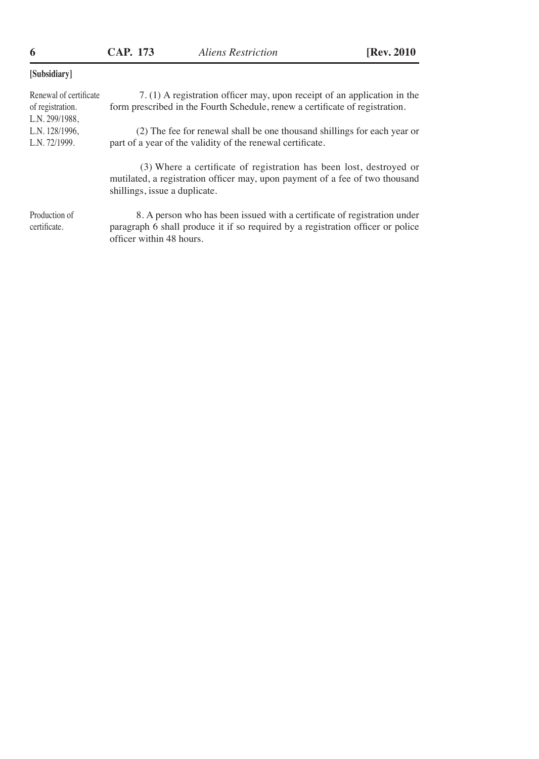officer within 48 hours.

| [Subsidiary]                                                 |                                                                                                                                                                                      |
|--------------------------------------------------------------|--------------------------------------------------------------------------------------------------------------------------------------------------------------------------------------|
| Renewal of certificate<br>of registration.<br>L.N. 299/1988, | 7. (1) A registration officer may, upon receipt of an application in the<br>form prescribed in the Fourth Schedule, renew a certificate of registration.                             |
| L.N. 128/1996,<br>L.N. 72/1999.                              | (2) The fee for renewal shall be one thousand shillings for each year or<br>part of a year of the validity of the renewal certificate.                                               |
|                                                              | (3) Where a certificate of registration has been lost, destroyed or<br>mutilated, a registration officer may, upon payment of a fee of two thousand<br>shillings, issue a duplicate. |
| Production of<br>certificate.                                | 8. A person who has been issued with a certificate of registration under<br>paragraph 6 shall produce it if so required by a registration officer or police                          |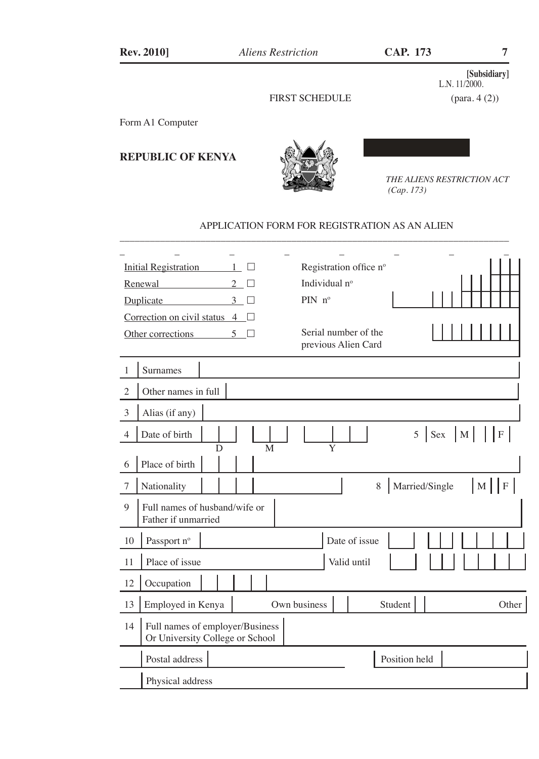## **[Subsidiary]** L.N. 11/2000.

### FIRST SCHEDULE (para. 4 (2))

#### Form A1 Computer

**REPUBLIC OF KENYA** 



*THE ALIENS RESTRICTION ACT (Cap. 173)*

#### APPLICATION FORM FOR REGISTRATION AS AN ALIEN

\_\_\_\_\_\_\_\_\_\_\_\_\_\_\_\_\_\_\_\_\_\_\_\_\_\_\_\_\_\_\_\_\_\_\_\_\_\_\_\_\_\_\_\_\_\_\_\_\_\_\_\_\_\_\_\_\_\_\_\_\_\_\_\_\_\_\_\_\_\_\_\_\_\_\_\_\_

|                | <b>Initial Registration</b>                                        | $\mathbf{1}$<br>П   | Registration office nº |                     |                                |
|----------------|--------------------------------------------------------------------|---------------------|------------------------|---------------------|--------------------------------|
|                | Renewal                                                            | $\mathfrak{D}$      | Individual nº          |                     |                                |
|                | Duplicate                                                          | 3 <sup>7</sup><br>П | PIN $n^{\circ}$        |                     |                                |
|                | Correction on civil status $4 \Box$                                |                     |                        |                     |                                |
|                | Other corrections                                                  | $5\Box$             | Serial number of the   |                     |                                |
|                |                                                                    |                     | previous Alien Card    |                     |                                |
|                | Surnames                                                           |                     |                        |                     |                                |
| $\overline{2}$ | Other names in full                                                |                     |                        |                     |                                |
| 3              | Alias (if any)                                                     |                     |                        |                     |                                |
| $\overline{4}$ | Date of birth                                                      |                     |                        |                     | $5$ Sex M $\vert$ F $\vert$    |
|                | D                                                                  | M                   | Y                      |                     |                                |
| 6              | Place of birth                                                     |                     |                        |                     |                                |
| 7              | Nationality                                                        |                     |                        | Married/Single<br>8 | $\mathbf F$<br>$\vert M \vert$ |
| 9              | Full names of husband/wife or                                      |                     |                        |                     |                                |
|                | Father if unmarried                                                |                     |                        |                     |                                |
| 10             | Passport nº                                                        |                     | Date of issue          |                     |                                |
| 11             | Place of issue                                                     |                     | Valid until            |                     |                                |
| 12             | Occupation                                                         |                     |                        |                     |                                |
| 13             | Employed in Kenya                                                  |                     | Own business           | Student             | Other                          |
| 14             | Full names of employer/Business<br>Or University College or School |                     |                        |                     |                                |
|                | Postal address                                                     |                     |                        | Position held       |                                |
|                | Physical address                                                   |                     |                        |                     |                                |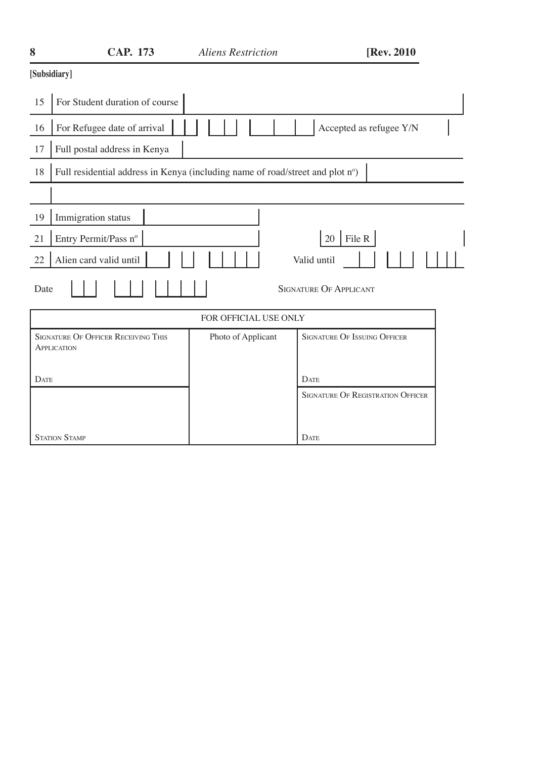| 8           | <b>CAP. 173</b>                                                               | <b>Aliens Restriction</b> | [Rev. 2010]                              |
|-------------|-------------------------------------------------------------------------------|---------------------------|------------------------------------------|
|             | [Subsidiary]                                                                  |                           |                                          |
| 15          | For Student duration of course                                                |                           |                                          |
| 16          | For Refugee date of arrival                                                   |                           | Accepted as refugee Y/N                  |
| 17          | Full postal address in Kenya                                                  |                           |                                          |
| 18          | Full residential address in Kenya (including name of road/street and plot nº) |                           |                                          |
|             |                                                                               |                           |                                          |
| 19          | Immigration status                                                            |                           |                                          |
| 21          | Entry Permit/Pass nº                                                          |                           | 20   File R                              |
| 22          | Alien card valid until                                                        |                           | Valid until                              |
| Date        |                                                                               |                           | <b>SIGNATURE OF APPLICANT</b>            |
|             |                                                                               | FOR OFFICIAL USE ONLY     |                                          |
|             | <b>SIGNATURE OF OFFICER RECEIVING THIS</b><br>APPLICATION                     | Photo of Applicant        | <b>SIGNATURE OF ISSUING OFFICER</b>      |
| <b>DATE</b> |                                                                               |                           | <b>DATE</b>                              |
|             |                                                                               |                           | <b>SIGNATURE OF REGISTRATION OFFICER</b> |
|             | <b>STATION STAMP</b>                                                          |                           | <b>DATE</b>                              |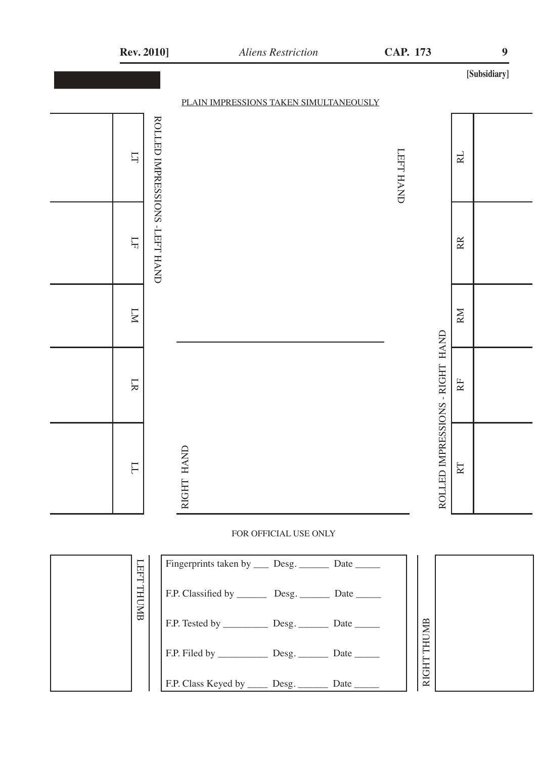| <b>Rev. 2010]</b>                       |            | <b>Aliens Restriction</b> |                                                        | CAP. 173         |                                             | $\boldsymbol{9}$ |
|-----------------------------------------|------------|---------------------------|--------------------------------------------------------|------------------|---------------------------------------------|------------------|
|                                         |            |                           |                                                        |                  |                                             | [Subsidiary]     |
|                                         |            |                           | PLAIN IMPRESSIONS TAKEN SIMULTANEOUSLY                 |                  |                                             |                  |
| ROLLED IMPRESSIONS -LEFT HAND<br>$\Box$ |            |                           |                                                        | <b>LEFT HAND</b> | RL                                          |                  |
| $\overline{\Gamma}$                     |            |                           |                                                        |                  | $\mathbb R$                                 |                  |
| $\overline{\mathbb{N}}$                 |            |                           |                                                        |                  | RM                                          |                  |
| LR                                      |            |                           |                                                        |                  | $\rm{R}$                                    |                  |
| $\overline{\Gamma}$                     | RIGHT HAND |                           |                                                        |                  | ROLLED IMPRESSIONS - RIGHT HAND<br>$\rm RT$ |                  |
|                                         |            | FOR OFFICIAL USE ONLY     |                                                        |                  |                                             |                  |
| LHH                                     |            |                           | Fingerprints taken by _____ Desg. ________ Date ______ |                  |                                             |                  |

|  | −<br><b>THT</b> | Fingerprints taken by _____ Desg. _________ Date _______       |      |                 |  |
|--|-----------------|----------------------------------------------------------------|------|-----------------|--|
|  | THUMB           | F.P. Classified by __________ Desg. ___________ Date _______   |      |                 |  |
|  |                 | F.P. Tested by _______________ Desg. ____________ Date _______ |      | $\overline{a}$  |  |
|  |                 |                                                                | Date | 呂<br><b>GHT</b> |  |
|  |                 | F.P. Class Keyed by ______ Desg. _______                       | Date | Ř               |  |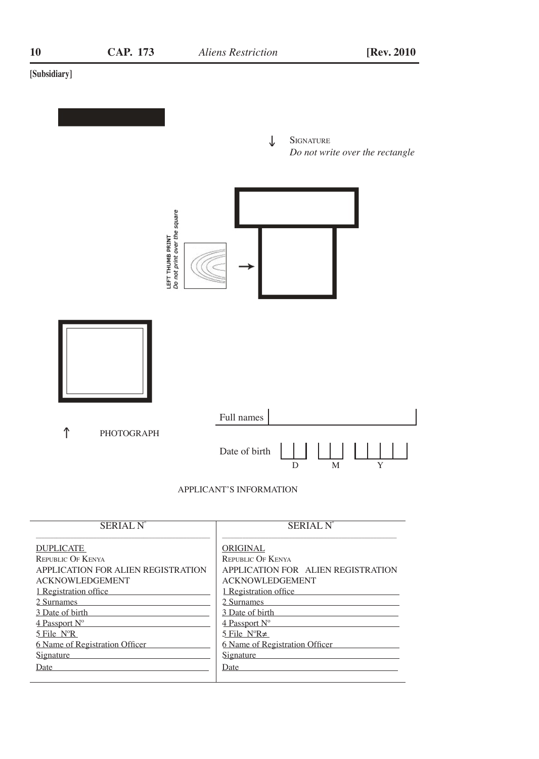#### **[Subsidiary]**



APPLICANT'S INFORMATION

| <b>SERIAL N°</b>                   | <b>SERIAL N'</b>                   |
|------------------------------------|------------------------------------|
| <b>DUPLICATE</b>                   | ORIGINAL                           |
| <b>REPUBLIC OF KENYA</b>           | <b>REPUBLIC OF KENYA</b>           |
| APPLICATION FOR ALIEN REGISTRATION | APPLICATION FOR ALIEN REGISTRATION |
| <b>ACKNOWLEDGEMENT</b>             | <b>ACKNOWLEDGEMENT</b>             |
| 1 Registration office              | 1 Registration office              |
| 2 Surnames                         | 2 Surnames                         |
| 3 Date of birth                    | 3 Date of birth                    |
| 4 Passport N°                      | 4 Passport N°                      |
| $5$ File $N^{\circ}R$              | 5 File $N^{\circ}R \neq$           |
| 6 Name of Registration Officer     | 6 Name of Registration Officer     |
| Signature                          | Signature                          |
| Date                               | Date                               |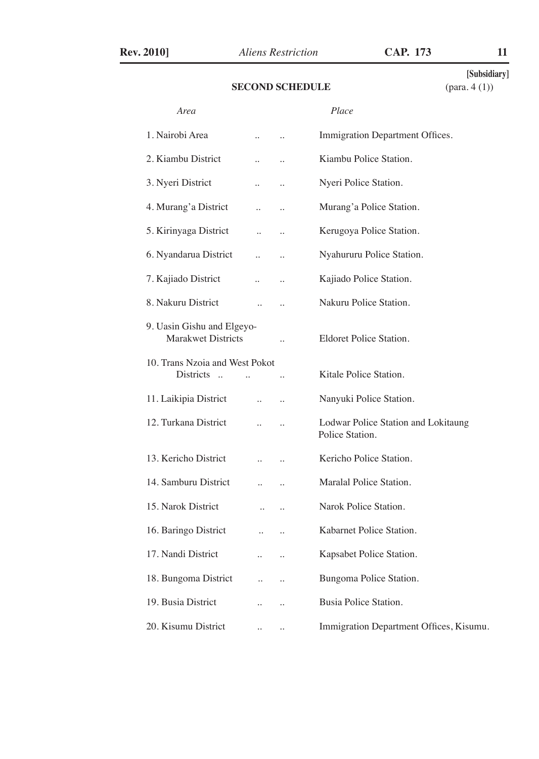#### **SECOND SCHEDULE**

**[Subsidiary]**

| Area                                                    |                      |                      | Place                                                  |
|---------------------------------------------------------|----------------------|----------------------|--------------------------------------------------------|
| 1. Nairobi Area                                         |                      | $\ddotsc$            | Immigration Department Offices.                        |
| 2. Kiambu District                                      |                      |                      | Kiambu Police Station.                                 |
| 3. Nyeri District                                       |                      | $\ddot{\phantom{a}}$ | Nyeri Police Station.                                  |
| 4. Murang'a District                                    | $\ddot{\phantom{a}}$ | $\ddot{\phantom{a}}$ | Murang'a Police Station.                               |
| 5. Kirinyaga District                                   | $\ddot{\phantom{a}}$ | $\ddotsc$            | Kerugoya Police Station.                               |
| 6. Nyandarua District                                   | $\ddot{\phantom{a}}$ | $\ddot{\phantom{a}}$ | Nyahururu Police Station.                              |
| 7. Kajiado District                                     | $\ddot{\phantom{a}}$ |                      | Kajiado Police Station.                                |
| 8. Nakuru District                                      | $\ddot{\phantom{a}}$ | $\ddot{\phantom{0}}$ | Nakuru Police Station.                                 |
| 9. Uasin Gishu and Elgeyo-<br><b>Marakwet Districts</b> |                      |                      | Eldoret Police Station.                                |
| 10. Trans Nzoia and West Pokot<br>Districts             |                      |                      | Kitale Police Station.                                 |
| 11. Laikipia District                                   | $\ddotsc$            |                      | Nanyuki Police Station.                                |
| 12. Turkana District                                    | $\ddot{\phantom{a}}$ | $\ddot{\phantom{a}}$ | Lodwar Police Station and Lokitaung<br>Police Station. |
| 13. Kericho District                                    |                      | $\ddot{\phantom{a}}$ | Kericho Police Station.                                |
| 14. Samburu District                                    | $\ddot{\phantom{a}}$ |                      | Maralal Police Station.                                |
| 15. Narok District                                      |                      |                      | Narok Police Station.                                  |
| 16. Baringo District                                    | $\ddot{\phantom{a}}$ | $\ddotsc$            | Kabarnet Police Station.                               |
| 17. Nandi District                                      | $\ddot{\phantom{a}}$ | $\ddotsc$            | Kapsabet Police Station.                               |
| 18. Bungoma District                                    | $\ddot{\phantom{0}}$ |                      | Bungoma Police Station.                                |
| 19. Busia District                                      |                      | $\ddot{\phantom{a}}$ | Busia Police Station.                                  |
| 20. Kisumu District                                     |                      | $\ddotsc$            | Immigration Department Offices, Kisumu.                |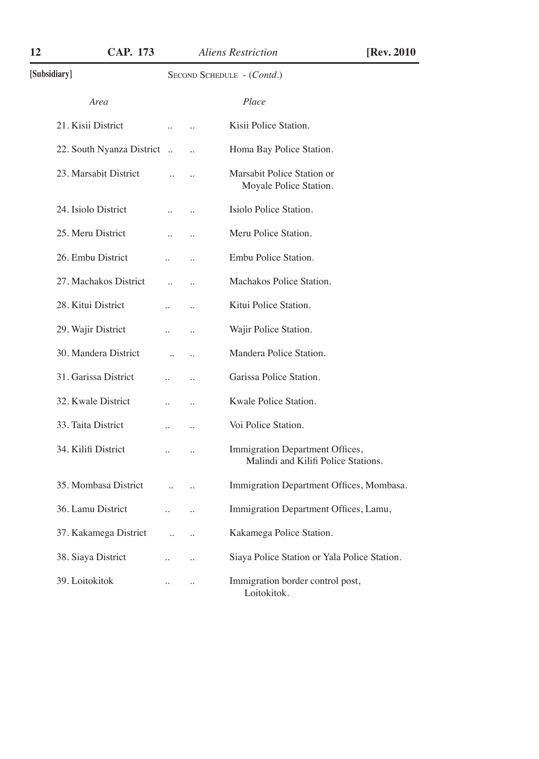| 12<br>CAP. 173            |                      |                      | <b>Aliens Restriction</b>                                              | [Rev. 2010] |
|---------------------------|----------------------|----------------------|------------------------------------------------------------------------|-------------|
| [Subsidiary]              |                      |                      | SECOND SCHEDULE - (Contd.)                                             |             |
| Area                      |                      |                      | Place                                                                  |             |
| 21. Kisii District        | $\ddot{\phantom{a}}$ | $\ddot{\phantom{a}}$ | Kisii Police Station.                                                  |             |
| 22. South Nyanza District | $\ddotsc$            | $\ddot{\phantom{a}}$ | Homa Bay Police Station.                                               |             |
| 23. Marsabit District     |                      |                      | Marsabit Police Station or<br>Moyale Police Station.                   |             |
| 24. Isiolo District       |                      |                      | Isiolo Police Station.                                                 |             |
| 25. Meru District         | $\ddot{\phantom{a}}$ | $\ddot{\phantom{a}}$ | Meru Police Station.                                                   |             |
| 26. Embu District         |                      |                      | Embu Police Station.                                                   |             |
| 27. Machakos District     | $\ddot{\phantom{a}}$ | $\ddot{\phantom{a}}$ | Machakos Police Station.                                               |             |
| 28. Kitui District        |                      | $\ddot{\phantom{a}}$ | Kitui Police Station.                                                  |             |
| 29. Wajir District        | $\ddot{\phantom{a}}$ | $\ddotsc$            | Wajir Police Station.                                                  |             |
| 30. Mandera District      |                      |                      | Mandera Police Station.                                                |             |
| 31. Garissa District      | $\ddot{\phantom{a}}$ | $\ddotsc$            | Garissa Police Station.                                                |             |
| 32. Kwale District        |                      | $\ddot{\phantom{a}}$ | Kwale Police Station.                                                  |             |
| 33. Taita District        |                      |                      | Voi Police Station.                                                    |             |
| 34. Kilifi District       | $\ddot{\phantom{a}}$ | $\ddotsc$            | Immigration Department Offices,<br>Malindi and Kilifi Police Stations. |             |
| 35. Mombasa District      |                      |                      | Immigration Department Offices, Mombasa.                               |             |
| 36. Lamu District         | $\ddot{\phantom{a}}$ | $\ddot{\phantom{a}}$ | Immigration Department Offices, Lamu,                                  |             |
| 37. Kakamega District     |                      | $\ddot{\phantom{a}}$ | Kakamega Police Station.                                               |             |
| 38. Siaya District        | $\ddot{\phantom{a}}$ | $\ddot{\phantom{a}}$ | Siaya Police Station or Yala Police Station.                           |             |
| 39. Loitokitok            | $\ddot{\phantom{a}}$ |                      | Immigration border control post,<br>Loitokitok.                        |             |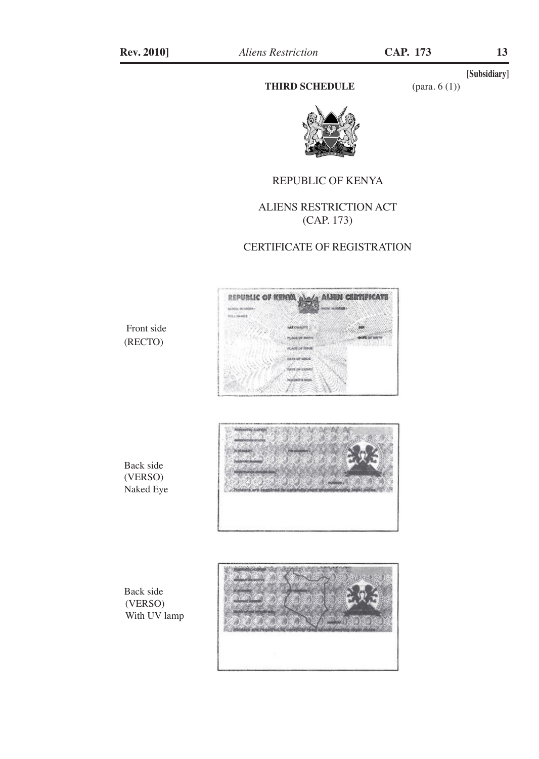#### **THIRD SCHEDULE** (para. 6 (1))

**[Subsidiary]**



#### REPUBLIC OF KENYA

## ALIENS RESTRICTION ACT (CAP. 173)

#### CERTIFICATE OF REGISTRATION



Front side (RECTO)



Back side (VERSO) Naked Eye

Back side (VERSO) With UV lamp

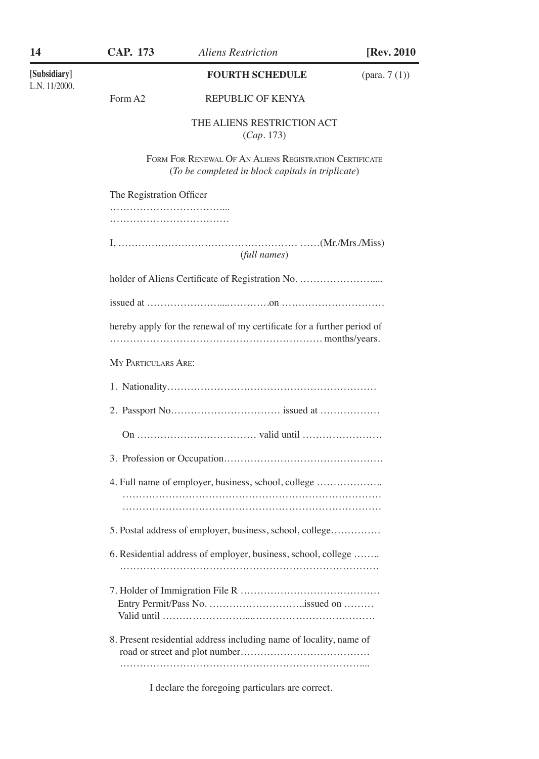14 **CAP. 173** *Aliens Restriction* [Rev. 2010]

L.N. 11/2000.

#### **[Subsidiary] FOURTH SCHEDULE** (para. 7 (1))

## Form A2 REPUBLIC OF KENYA

THE ALIENS RESTRICTION ACT (*Cap*. 173)

Form For Renewal Of An Aliens Registration Certificate (*To be completed in block capitals in triplicate*)

| The Registration Officer                                               |
|------------------------------------------------------------------------|
|                                                                        |
| (full names)                                                           |
| holder of Aliens Certificate of Registration No.                       |
|                                                                        |
| hereby apply for the renewal of my certificate for a further period of |
| <b>MY PARTICULARS ARE:</b>                                             |
|                                                                        |
|                                                                        |
|                                                                        |
|                                                                        |
| 4. Full name of employer, business, school, college                    |
| 5. Postal address of employer, business, school, college               |
| 6. Residential address of employer, business, school, college          |
|                                                                        |
| 8. Present residential address including name of locality, name of     |

I declare the foregoing particulars are correct.